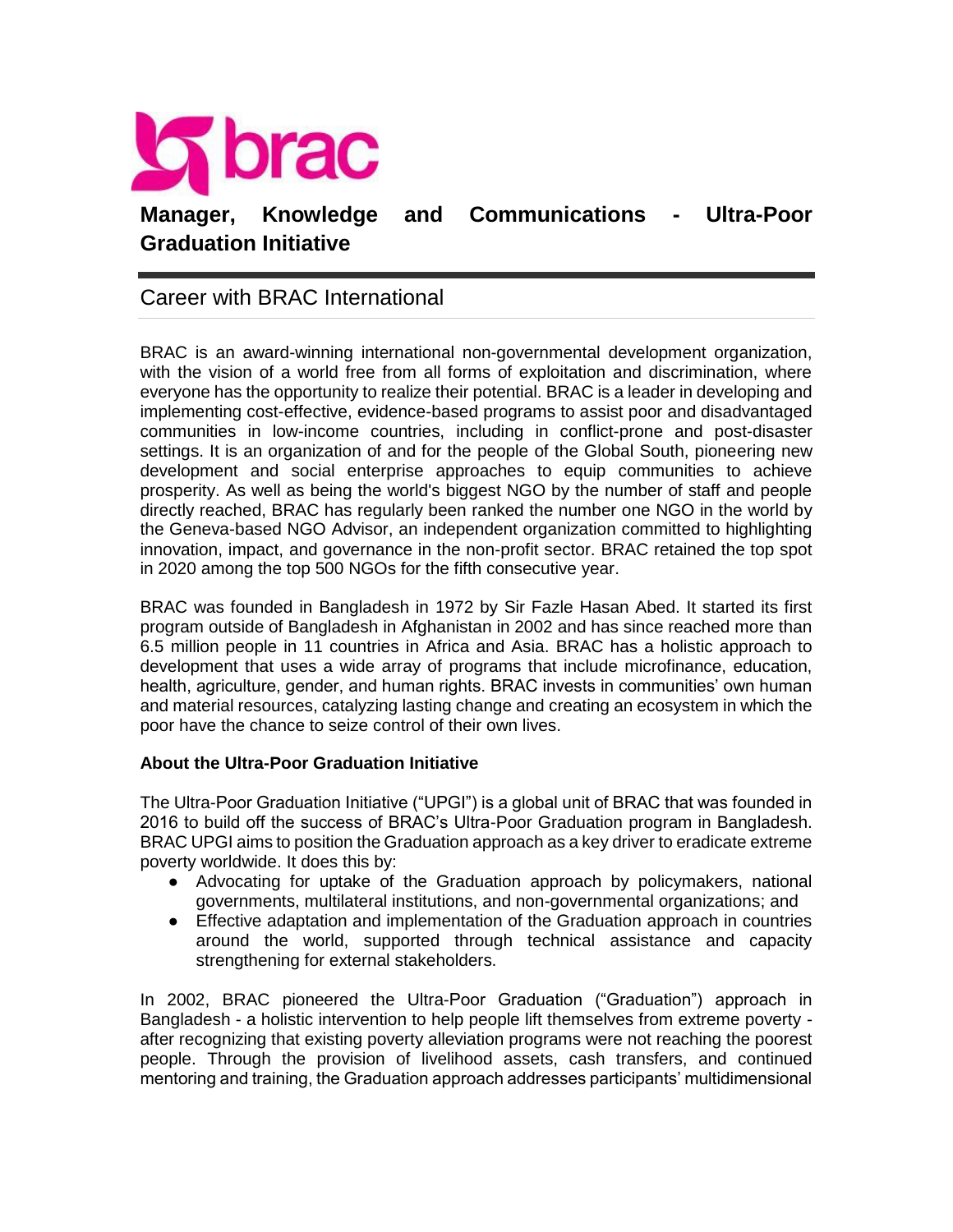

## Career with BRAC International

BRAC is an award-winning international non-governmental development organization, with the vision of a world free from all forms of exploitation and discrimination, where everyone has the opportunity to realize their potential. BRAC is a leader in developing and implementing cost-effective, evidence-based programs to assist poor and disadvantaged communities in low-income countries, including in conflict-prone and post-disaster settings. It is an organization of and for the people of the Global South, pioneering new development and social enterprise approaches to equip communities to achieve prosperity. As well as being the world's biggest NGO by the number of staff and people directly reached, BRAC has regularly been ranked the number one NGO in the world by the Geneva-based NGO Advisor, an independent organization committed to highlighting innovation, impact, and governance in the non-profit sector. BRAC retained the top spot in 2020 among the top 500 NGOs for the fifth consecutive year.

BRAC was founded in Bangladesh in 1972 by Sir Fazle Hasan Abed. It started its first program outside of Bangladesh in Afghanistan in 2002 and has since reached more than 6.5 million people in 11 countries in Africa and Asia. BRAC has a holistic approach to development that uses a wide array of programs that include microfinance, education, health, agriculture, gender, and human rights. BRAC invests in communities' own human and material resources, catalyzing lasting change and creating an ecosystem in which the poor have the chance to seize control of their own lives.

#### **About the Ultra-Poor Graduation Initiative**

The Ultra-Poor Graduation Initiative ("UPGI") is a global unit of BRAC that was founded in 2016 to build off the success of BRAC's Ultra-Poor Graduation program in Bangladesh. BRAC UPGI aims to position the Graduation approach as a key driver to eradicate extreme poverty worldwide. It does this by:

- Advocating for uptake of the Graduation approach by policymakers, national governments, multilateral institutions, and non-governmental organizations; and
- Effective adaptation and implementation of the Graduation approach in countries around the world, supported through technical assistance and capacity strengthening for external stakeholders.

In 2002, BRAC pioneered the Ultra-Poor Graduation ("Graduation") approach in Bangladesh - a holistic intervention to help people lift themselves from extreme poverty after recognizing that existing poverty alleviation programs were not reaching the poorest people. Through the provision of livelihood assets, cash transfers, and continued mentoring and training, the Graduation approach addresses participants' multidimensional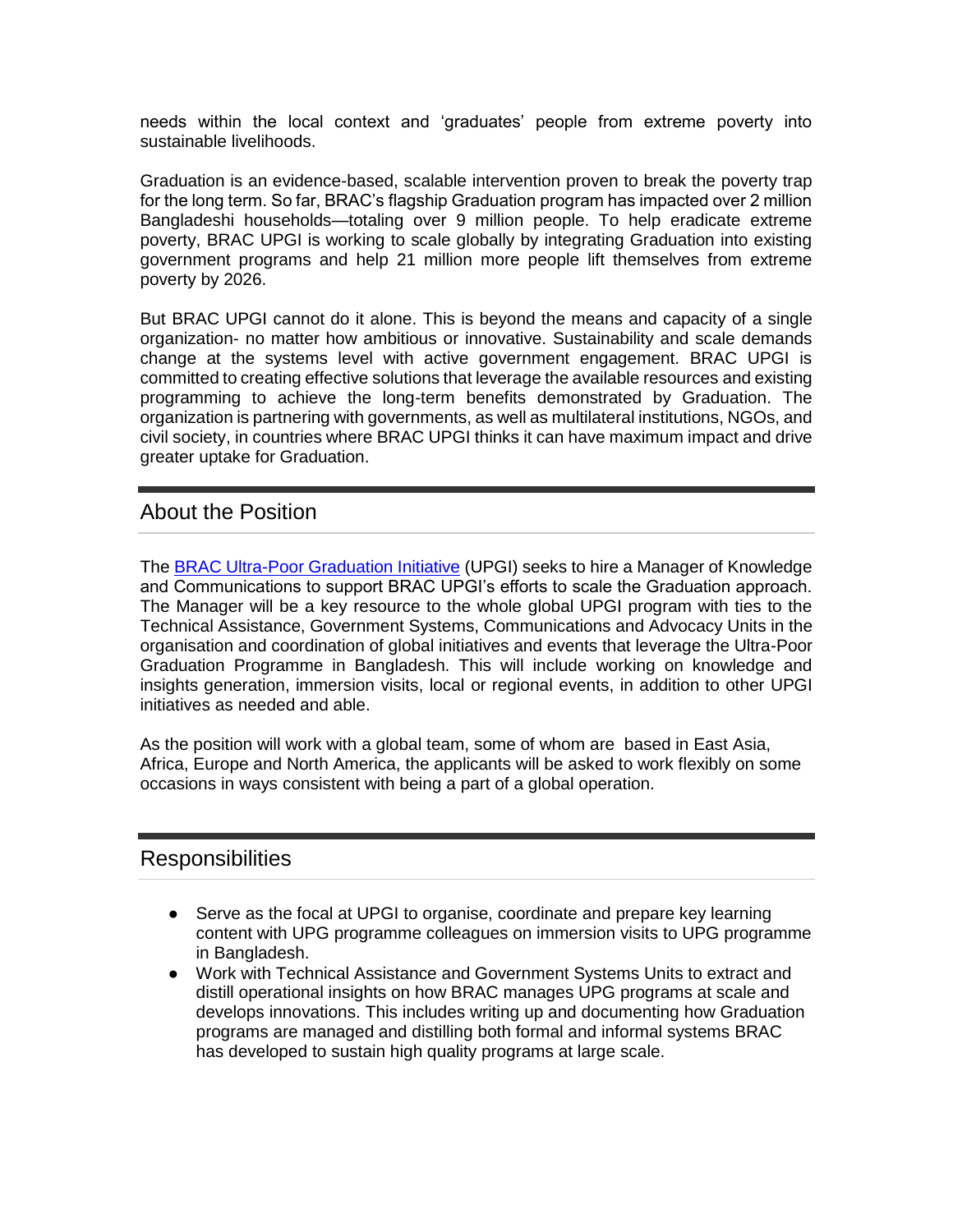needs within the local context and 'graduates' people from extreme poverty into sustainable livelihoods.

Graduation is an evidence-based, scalable intervention proven to break the poverty trap for the long term. So far, BRAC's flagship Graduation program has impacted over 2 million Bangladeshi households—totaling over 9 million people. To help eradicate extreme poverty, BRAC UPGI is working to scale globally by integrating Graduation into existing government programs and help 21 million more people lift themselves from extreme poverty by 2026.

But BRAC UPGI cannot do it alone. This is beyond the means and capacity of a single organization- no matter how ambitious or innovative. Sustainability and scale demands change at the systems level with active government engagement. BRAC UPGI is committed to creating effective solutions that leverage the available resources and existing programming to achieve the long-term benefits demonstrated by Graduation. The organization is partnering with governments, as well as multilateral institutions, NGOs, and civil society, in countries where BRAC UPGI thinks it can have maximum impact and drive greater uptake for Graduation.

### About the Position

The [BRAC Ultra-Poor Graduation Initiative](http://bracultrapoorgraduation.org/) (UPGI) seeks to hire a Manager of Knowledge and Communications to support BRAC UPGI's efforts to scale the Graduation approach. The Manager will be a key resource to the whole global UPGI program with ties to the Technical Assistance, Government Systems, Communications and Advocacy Units in the organisation and coordination of global initiatives and events that leverage the Ultra-Poor Graduation Programme in Bangladesh. This will include working on knowledge and insights generation, immersion visits, local or regional events, in addition to other UPGI initiatives as needed and able.

As the position will work with a global team, some of whom are based in East Asia, Africa, Europe and North America, the applicants will be asked to work flexibly on some occasions in ways consistent with being a part of a global operation.

#### Responsibilities

- Serve as the focal at UPGI to organise, coordinate and prepare key learning content with UPG programme colleagues on immersion visits to UPG programme in Bangladesh.
- Work with Technical Assistance and Government Systems Units to extract and distill operational insights on how BRAC manages UPG programs at scale and develops innovations. This includes writing up and documenting how Graduation programs are managed and distilling both formal and informal systems BRAC has developed to sustain high quality programs at large scale.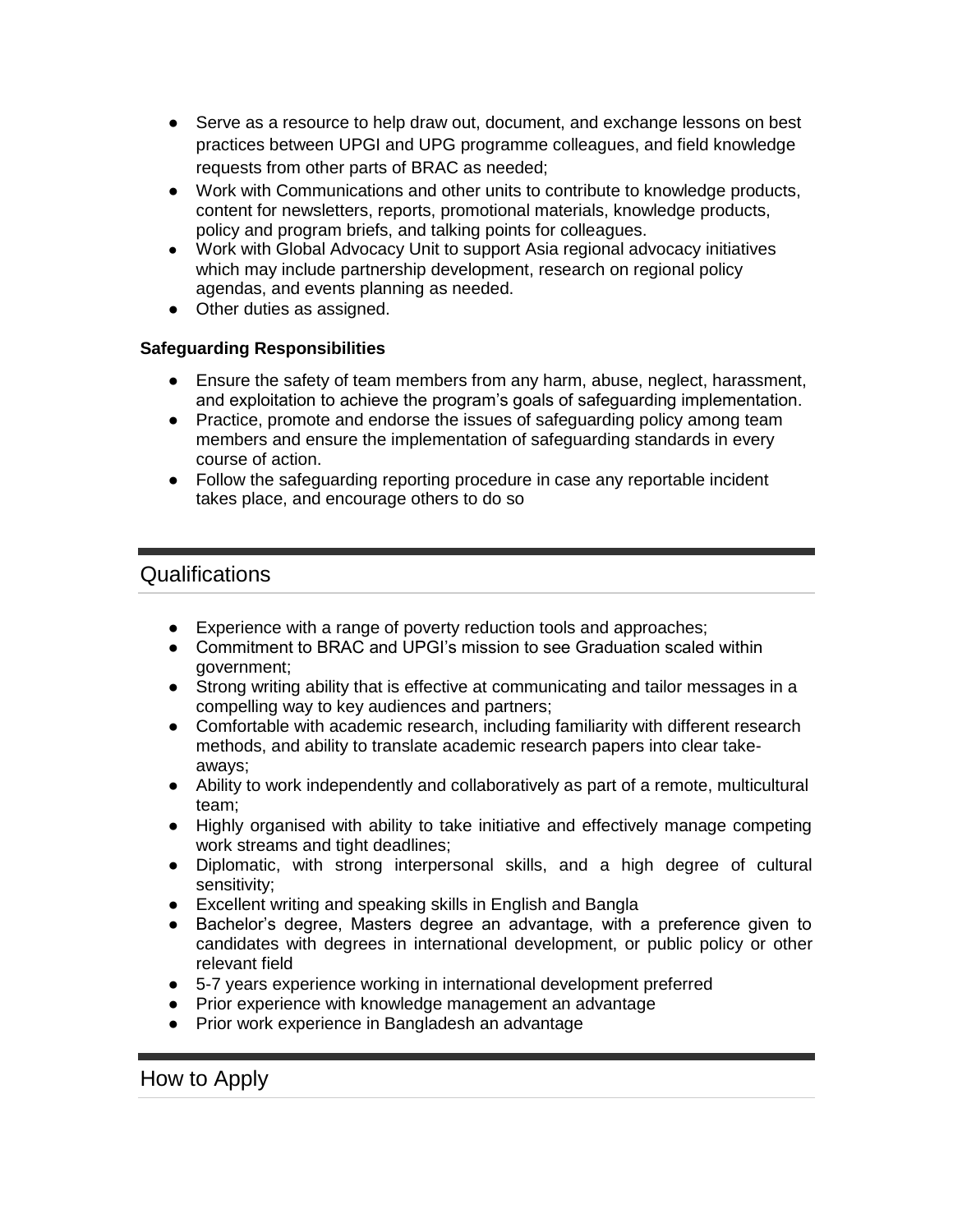- Serve as a resource to help draw out, document, and exchange lessons on best practices between UPGI and UPG programme colleagues, and field knowledge requests from other parts of BRAC as needed;
- Work with Communications and other units to contribute to knowledge products, content for newsletters, reports, promotional materials, knowledge products, policy and program briefs, and talking points for colleagues.
- Work with Global Advocacy Unit to support Asia regional advocacy initiatives which may include partnership development, research on regional policy agendas, and events planning as needed.
- Other duties as assigned.

#### **Safeguarding Responsibilities**

- Ensure the safety of team members from any harm, abuse, neglect, harassment, and exploitation to achieve the program's goals of safeguarding implementation.
- Practice, promote and endorse the issues of safeguarding policy among team members and ensure the implementation of safeguarding standards in every course of action.
- Follow the safeguarding reporting procedure in case any reportable incident takes place, and encourage others to do so

# Qualifications

- Experience with a range of poverty reduction tools and approaches;
- Commitment to BRAC and UPGI's mission to see Graduation scaled within government;
- Strong writing ability that is effective at communicating and tailor messages in a compelling way to key audiences and partners;
- Comfortable with academic research, including familiarity with different research methods, and ability to translate academic research papers into clear takeaways;
- Ability to work independently and collaboratively as part of a remote, multicultural team;
- Highly organised with ability to take initiative and effectively manage competing work streams and tight deadlines;
- Diplomatic, with strong interpersonal skills, and a high degree of cultural sensitivity;
- Excellent writing and speaking skills in English and Bangla
- Bachelor's degree, Masters degree an advantage, with a preference given to candidates with degrees in international development, or public policy or other relevant field
- 5-7 years experience working in international development preferred
- Prior experience with knowledge management an advantage
- Prior work experience in Bangladesh an advantage